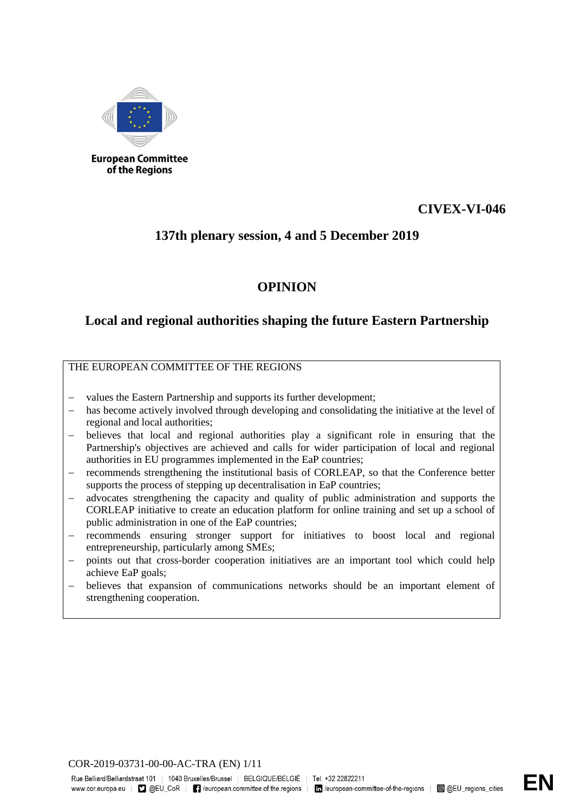

#### **European Committee** of the Regions

## **CIVEX-VI-046**

## **137th plenary session, 4 and 5 December 2019**

# **OPINION**

## **Local and regional authorities shaping the future Eastern Partnership**

### THE EUROPEAN COMMITTEE OF THE REGIONS

- values the Eastern Partnership and supports its further development;
- has become actively involved through developing and consolidating the initiative at the level of regional and local authorities;
- − believes that local and regional authorities play a significant role in ensuring that the Partnership's objectives are achieved and calls for wider participation of local and regional authorities in EU programmes implemented in the EaP countries;
- recommends strengthening the institutional basis of CORLEAP, so that the Conference better supports the process of stepping up decentralisation in EaP countries;
- advocates strengthening the capacity and quality of public administration and supports the CORLEAP initiative to create an education platform for online training and set up a school of public administration in one of the EaP countries;
- − recommends ensuring stronger support for initiatives to boost local and regional entrepreneurship, particularly among SMEs;
- points out that cross-border cooperation initiatives are an important tool which could help achieve EaP goals;
- believes that expansion of communications networks should be an important element of strengthening cooperation.

COR-2019-03731-00-00-AC-TRA (EN) 1/11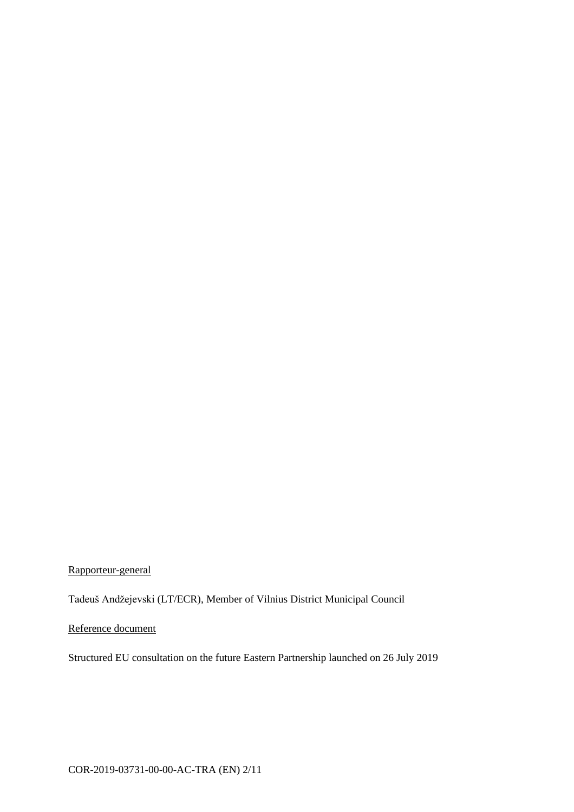Rapporteur-general

Tadeuš Andžejevski (LT/ECR), Member of Vilnius District Municipal Council

Reference document

Structured EU consultation on the future Eastern Partnership launched on 26 July 2019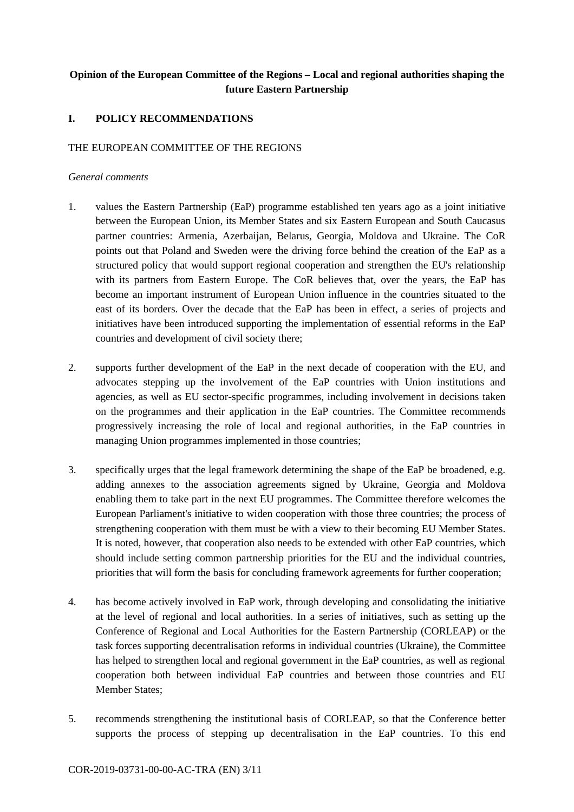## **Opinion of the European Committee of the Regions – Local and regional authorities shaping the future Eastern Partnership**

### **I. POLICY RECOMMENDATIONS**

#### THE EUROPEAN COMMITTEE OF THE REGIONS

#### *General comments*

- 1. values the Eastern Partnership (EaP) programme established ten years ago as a joint initiative between the European Union, its Member States and six Eastern European and South Caucasus partner countries: Armenia, Azerbaijan, Belarus, Georgia, Moldova and Ukraine. The CoR points out that Poland and Sweden were the driving force behind the creation of the EaP as a structured policy that would support regional cooperation and strengthen the EU's relationship with its partners from Eastern Europe. The CoR believes that, over the years, the EaP has become an important instrument of European Union influence in the countries situated to the east of its borders. Over the decade that the EaP has been in effect, a series of projects and initiatives have been introduced supporting the implementation of essential reforms in the EaP countries and development of civil society there;
- 2. supports further development of the EaP in the next decade of cooperation with the EU, and advocates stepping up the involvement of the EaP countries with Union institutions and agencies, as well as EU sector-specific programmes, including involvement in decisions taken on the programmes and their application in the EaP countries. The Committee recommends progressively increasing the role of local and regional authorities, in the EaP countries in managing Union programmes implemented in those countries;
- 3. specifically urges that the legal framework determining the shape of the EaP be broadened, e.g. adding annexes to the association agreements signed by Ukraine, Georgia and Moldova enabling them to take part in the next EU programmes. The Committee therefore welcomes the European Parliament's initiative to widen cooperation with those three countries; the process of strengthening cooperation with them must be with a view to their becoming EU Member States. It is noted, however, that cooperation also needs to be extended with other EaP countries, which should include setting common partnership priorities for the EU and the individual countries, priorities that will form the basis for concluding framework agreements for further cooperation;
- 4. has become actively involved in EaP work, through developing and consolidating the initiative at the level of regional and local authorities. In a series of initiatives, such as setting up the Conference of Regional and Local Authorities for the Eastern Partnership (CORLEAP) or the task forces supporting decentralisation reforms in individual countries (Ukraine), the Committee has helped to strengthen local and regional government in the EaP countries, as well as regional cooperation both between individual EaP countries and between those countries and EU Member States;
- 5. recommends strengthening the institutional basis of CORLEAP, so that the Conference better supports the process of stepping up decentralisation in the EaP countries. To this end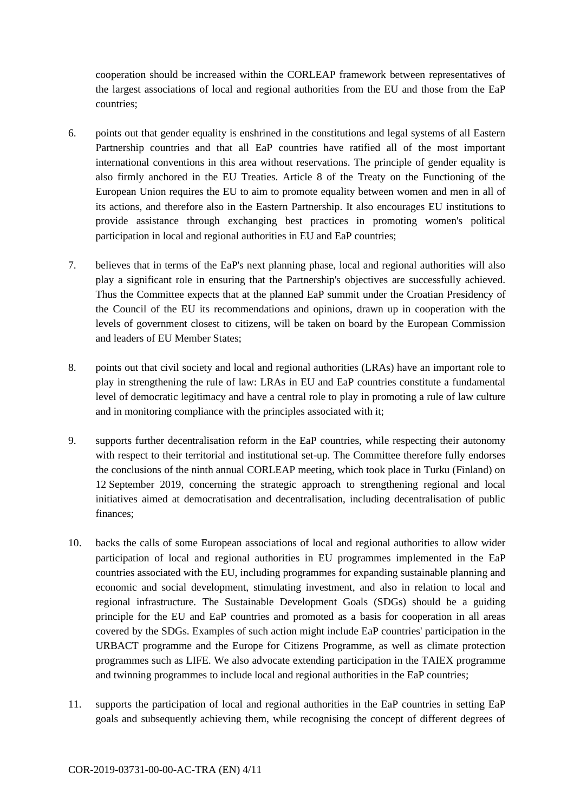cooperation should be increased within the CORLEAP framework between representatives of the largest associations of local and regional authorities from the EU and those from the EaP countries;

- 6. points out that gender equality is enshrined in the constitutions and legal systems of all Eastern Partnership countries and that all EaP countries have ratified all of the most important international conventions in this area without reservations. The principle of gender equality is also firmly anchored in the EU Treaties. Article 8 of the Treaty on the Functioning of the European Union requires the EU to aim to promote equality between women and men in all of its actions, and therefore also in the Eastern Partnership. It also encourages EU institutions to provide assistance through exchanging best practices in promoting women's political participation in local and regional authorities in EU and EaP countries;
- 7. believes that in terms of the EaP's next planning phase, local and regional authorities will also play a significant role in ensuring that the Partnership's objectives are successfully achieved. Thus the Committee expects that at the planned EaP summit under the Croatian Presidency of the Council of the EU its recommendations and opinions, drawn up in cooperation with the levels of government closest to citizens, will be taken on board by the European Commission and leaders of EU Member States;
- 8. points out that civil society and local and regional authorities (LRAs) have an important role to play in strengthening the rule of law: LRAs in EU and EaP countries constitute a fundamental level of democratic legitimacy and have a central role to play in promoting a rule of law culture and in monitoring compliance with the principles associated with it;
- 9. supports further decentralisation reform in the EaP countries, while respecting their autonomy with respect to their territorial and institutional set-up. The Committee therefore fully endorses the conclusions of the ninth annual CORLEAP meeting, which took place in Turku (Finland) on 12 September 2019, concerning the strategic approach to strengthening regional and local initiatives aimed at democratisation and decentralisation, including decentralisation of public finances;
- 10. backs the calls of some European associations of local and regional authorities to allow wider participation of local and regional authorities in EU programmes implemented in the EaP countries associated with the EU, including programmes for expanding sustainable planning and economic and social development, stimulating investment, and also in relation to local and regional infrastructure. The Sustainable Development Goals (SDGs) should be a guiding principle for the EU and EaP countries and promoted as a basis for cooperation in all areas covered by the SDGs. Examples of such action might include EaP countries' participation in the URBACT programme and the Europe for Citizens Programme, as well as climate protection programmes such as LIFE. We also advocate extending participation in the TAIEX programme and twinning programmes to include local and regional authorities in the EaP countries;
- 11. supports the participation of local and regional authorities in the EaP countries in setting EaP goals and subsequently achieving them, while recognising the concept of different degrees of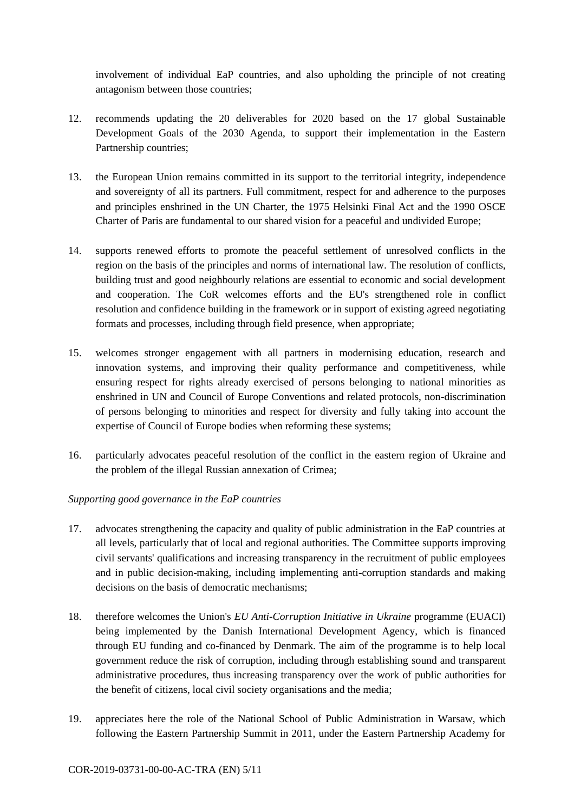involvement of individual EaP countries, and also upholding the principle of not creating antagonism between those countries;

- 12. recommends updating the 20 deliverables for 2020 based on the 17 global Sustainable Development Goals of the 2030 Agenda, to support their implementation in the Eastern Partnership countries;
- 13. the European Union remains committed in its support to the territorial integrity, independence and sovereignty of all its partners. Full commitment, respect for and adherence to the purposes and principles enshrined in the UN Charter, the 1975 Helsinki Final Act and the 1990 OSCE Charter of Paris are fundamental to our shared vision for a peaceful and undivided Europe;
- 14. supports renewed efforts to promote the peaceful settlement of unresolved conflicts in the region on the basis of the principles and norms of international law. The resolution of conflicts, building trust and good neighbourly relations are essential to economic and social development and cooperation. The CoR welcomes efforts and the EU's strengthened role in conflict resolution and confidence building in the framework or in support of existing agreed negotiating formats and processes, including through field presence, when appropriate;
- 15. welcomes stronger engagement with all partners in modernising education, research and innovation systems, and improving their quality performance and competitiveness, while ensuring respect for rights already exercised of persons belonging to national minorities as enshrined in UN and Council of Europe Conventions and related protocols, non-discrimination of persons belonging to minorities and respect for diversity and fully taking into account the expertise of Council of Europe bodies when reforming these systems;
- 16. particularly advocates peaceful resolution of the conflict in the eastern region of Ukraine and the problem of the illegal Russian annexation of Crimea;

### *Supporting good governance in the EaP countries*

- 17. advocates strengthening the capacity and quality of public administration in the EaP countries at all levels, particularly that of local and regional authorities. The Committee supports improving civil servants' qualifications and increasing transparency in the recruitment of public employees and in public decision-making, including implementing anti-corruption standards and making decisions on the basis of democratic mechanisms;
- 18. therefore welcomes the Union's *EU Anti-Corruption Initiative in Ukraine* programme (EUACI) being implemented by the Danish International Development Agency, which is financed through EU funding and co-financed by Denmark. The aim of the programme is to help local government reduce the risk of corruption, including through establishing sound and transparent administrative procedures, thus increasing transparency over the work of public authorities for the benefit of citizens, local civil society organisations and the media;
- 19. appreciates here the role of the National School of Public Administration in Warsaw, which following the Eastern Partnership Summit in 2011, under the Eastern Partnership Academy for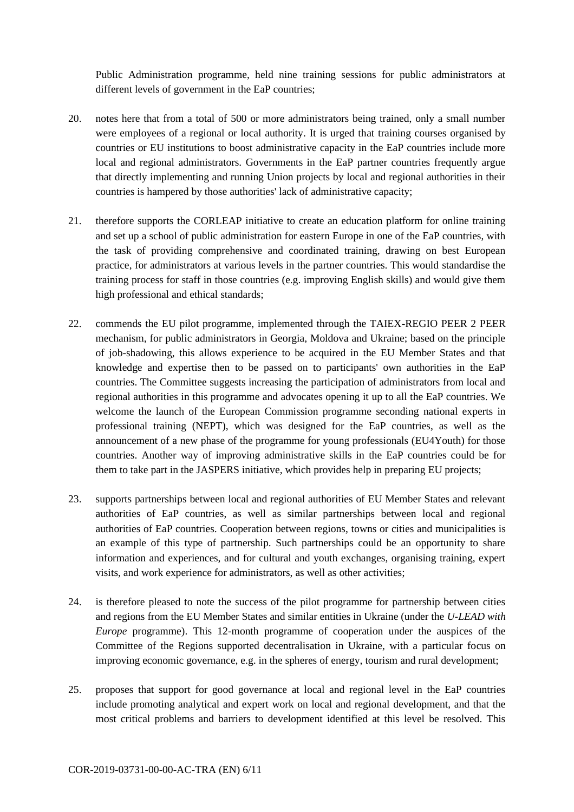Public Administration programme, held nine training sessions for public administrators at different levels of government in the EaP countries;

- 20. notes here that from a total of 500 or more administrators being trained, only a small number were employees of a regional or local authority. It is urged that training courses organised by countries or EU institutions to boost administrative capacity in the EaP countries include more local and regional administrators. Governments in the EaP partner countries frequently argue that directly implementing and running Union projects by local and regional authorities in their countries is hampered by those authorities' lack of administrative capacity;
- 21. therefore supports the CORLEAP initiative to create an education platform for online training and set up a school of public administration for eastern Europe in one of the EaP countries, with the task of providing comprehensive and coordinated training, drawing on best European practice, for administrators at various levels in the partner countries. This would standardise the training process for staff in those countries (e.g. improving English skills) and would give them high professional and ethical standards;
- 22. commends the EU pilot programme, implemented through the TAIEX-REGIO PEER 2 PEER mechanism, for public administrators in Georgia, Moldova and Ukraine; based on the principle of job-shadowing, this allows experience to be acquired in the EU Member States and that knowledge and expertise then to be passed on to participants' own authorities in the EaP countries. The Committee suggests increasing the participation of administrators from local and regional authorities in this programme and advocates opening it up to all the EaP countries. We welcome the launch of the European Commission programme seconding national experts in professional training (NEPT), which was designed for the EaP countries, as well as the announcement of a new phase of the programme for young professionals (EU4Youth) for those countries. Another way of improving administrative skills in the EaP countries could be for them to take part in the JASPERS initiative, which provides help in preparing EU projects;
- 23. supports partnerships between local and regional authorities of EU Member States and relevant authorities of EaP countries, as well as similar partnerships between local and regional authorities of EaP countries. Cooperation between regions, towns or cities and municipalities is an example of this type of partnership. Such partnerships could be an opportunity to share information and experiences, and for cultural and youth exchanges, organising training, expert visits, and work experience for administrators, as well as other activities;
- 24. is therefore pleased to note the success of the pilot programme for partnership between cities and regions from the EU Member States and similar entities in Ukraine (under the *U-LEAD with Europe* programme). This 12-month programme of cooperation under the auspices of the Committee of the Regions supported decentralisation in Ukraine, with a particular focus on improving economic governance, e.g. in the spheres of energy, tourism and rural development;
- 25. proposes that support for good governance at local and regional level in the EaP countries include promoting analytical and expert work on local and regional development, and that the most critical problems and barriers to development identified at this level be resolved. This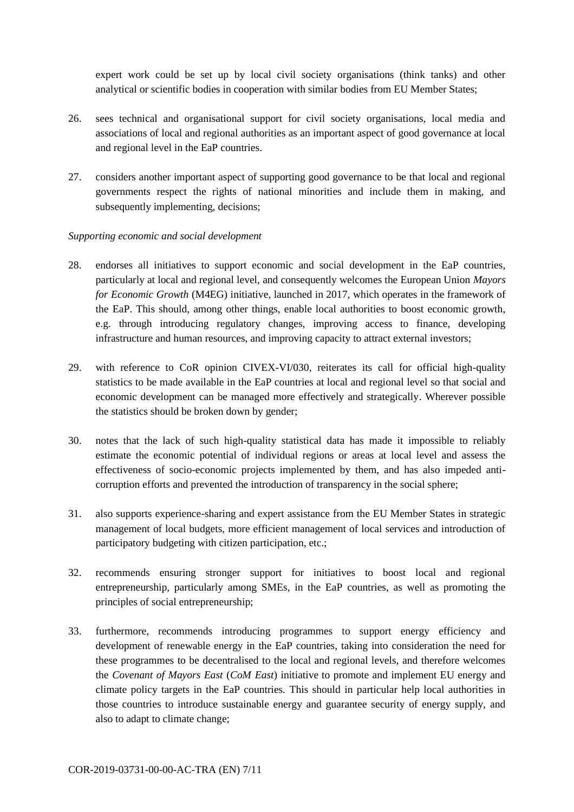expert work could be set up by local civil society organisations (think tanks) and other analytical or scientific bodies in cooperation with similar bodies from EU Member States;

- 26. sees technical and organisational support for civil society organisations, local media and associations of local and regional authorities as an important aspect of good governance at local and regional level in the EaP countries.
- 27. considers another important aspect of supporting good governance to be that local and regional governments respect the rights of national minorities and include them in making, and subsequently implementing, decisions;

#### *Supporting economic and social development*

- 28. endorses all initiatives to support economic and social development in the EaP countries, particularly at local and regional level, and consequently welcomes the European Union *Mayors for Economic Growth* (M4EG) initiative, launched in 2017, which operates in the framework of the EaP. This should, among other things, enable local authorities to boost economic growth, e.g. through introducing regulatory changes, improving access to finance, developing infrastructure and human resources, and improving capacity to attract external investors;
- 29. with reference to CoR opinion CIVEX-VI/030, reiterates its call for official high-quality statistics to be made available in the EaP countries at local and regional level so that social and economic development can be managed more effectively and strategically. Wherever possible the statistics should be broken down by gender;
- 30. notes that the lack of such high-quality statistical data has made it impossible to reliably estimate the economic potential of individual regions or areas at local level and assess the effectiveness of socio-economic projects implemented by them, and has also impeded anticorruption efforts and prevented the introduction of transparency in the social sphere;
- 31. also supports experience-sharing and expert assistance from the EU Member States in strategic management of local budgets, more efficient management of local services and introduction of participatory budgeting with citizen participation, etc.;
- 32. recommends ensuring stronger support for initiatives to boost local and regional entrepreneurship, particularly among SMEs, in the EaP countries, as well as promoting the principles of social entrepreneurship;
- 33. furthermore, recommends introducing programmes to support energy efficiency and development of renewable energy in the EaP countries, taking into consideration the need for these programmes to be decentralised to the local and regional levels, and therefore welcomes the *Covenant of Mayors East* (*CoM East*) initiative to promote and implement EU energy and climate policy targets in the EaP countries. This should in particular help local authorities in those countries to introduce sustainable energy and guarantee security of energy supply, and also to adapt to climate change;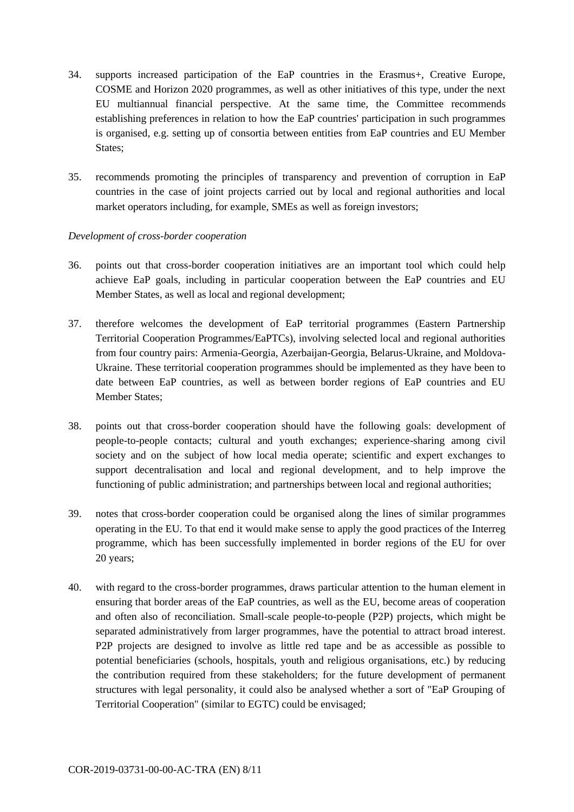- 34. supports increased participation of the EaP countries in the Erasmus+, Creative Europe, COSME and Horizon 2020 programmes, as well as other initiatives of this type, under the next EU multiannual financial perspective. At the same time, the Committee recommends establishing preferences in relation to how the EaP countries' participation in such programmes is organised, e.g. setting up of consortia between entities from EaP countries and EU Member States;
- 35. recommends promoting the principles of transparency and prevention of corruption in EaP countries in the case of joint projects carried out by local and regional authorities and local market operators including, for example, SMEs as well as foreign investors;

#### *Development of cross-border cooperation*

- 36. points out that cross-border cooperation initiatives are an important tool which could help achieve EaP goals, including in particular cooperation between the EaP countries and EU Member States, as well as local and regional development;
- 37. therefore welcomes the development of EaP territorial programmes (Eastern Partnership Territorial Cooperation Programmes/EaPTCs), involving selected local and regional authorities from four country pairs: Armenia-Georgia, Azerbaijan-Georgia, Belarus-Ukraine, and Moldova-Ukraine. These territorial cooperation programmes should be implemented as they have been to date between EaP countries, as well as between border regions of EaP countries and EU Member States;
- 38. points out that cross-border cooperation should have the following goals: development of people-to-people contacts; cultural and youth exchanges; experience-sharing among civil society and on the subject of how local media operate; scientific and expert exchanges to support decentralisation and local and regional development, and to help improve the functioning of public administration; and partnerships between local and regional authorities;
- 39. notes that cross-border cooperation could be organised along the lines of similar programmes operating in the EU. To that end it would make sense to apply the good practices of the Interreg programme, which has been successfully implemented in border regions of the EU for over 20 years;
- 40. with regard to the cross-border programmes, draws particular attention to the human element in ensuring that border areas of the EaP countries, as well as the EU, become areas of cooperation and often also of reconciliation. Small-scale people-to-people (P2P) projects, which might be separated administratively from larger programmes, have the potential to attract broad interest. P2P projects are designed to involve as little red tape and be as accessible as possible to potential beneficiaries (schools, hospitals, youth and religious organisations, etc.) by reducing the contribution required from these stakeholders; for the future development of permanent structures with legal personality, it could also be analysed whether a sort of "EaP Grouping of Territorial Cooperation" (similar to EGTC) could be envisaged;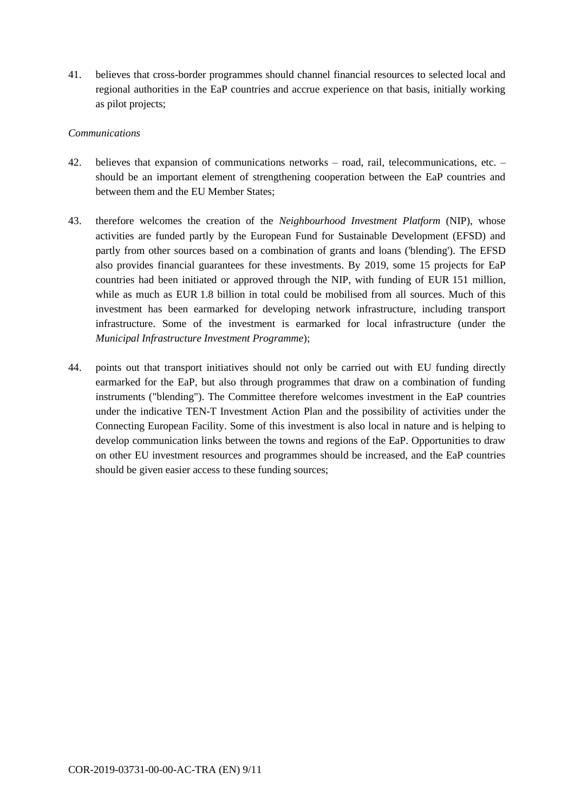41. believes that cross-border programmes should channel financial resources to selected local and regional authorities in the EaP countries and accrue experience on that basis, initially working as pilot projects;

#### *Communications*

- 42. believes that expansion of communications networks road, rail, telecommunications, etc. should be an important element of strengthening cooperation between the EaP countries and between them and the EU Member States;
- 43. therefore welcomes the creation of the *Neighbourhood Investment Platform* (NIP), whose activities are funded partly by the European Fund for Sustainable Development (EFSD) and partly from other sources based on a combination of grants and loans ('blending'). The EFSD also provides financial guarantees for these investments. By 2019, some 15 projects for EaP countries had been initiated or approved through the NIP, with funding of EUR 151 million, while as much as EUR 1.8 billion in total could be mobilised from all sources. Much of this investment has been earmarked for developing network infrastructure, including transport infrastructure. Some of the investment is earmarked for local infrastructure (under the *Municipal Infrastructure Investment Programme*);
- 44. points out that transport initiatives should not only be carried out with EU funding directly earmarked for the EaP, but also through programmes that draw on a combination of funding instruments ("blending"). The Committee therefore welcomes investment in the EaP countries under the indicative TEN-T Investment Action Plan and the possibility of activities under the Connecting European Facility. Some of this investment is also local in nature and is helping to develop communication links between the towns and regions of the EaP. Opportunities to draw on other EU investment resources and programmes should be increased, and the EaP countries should be given easier access to these funding sources;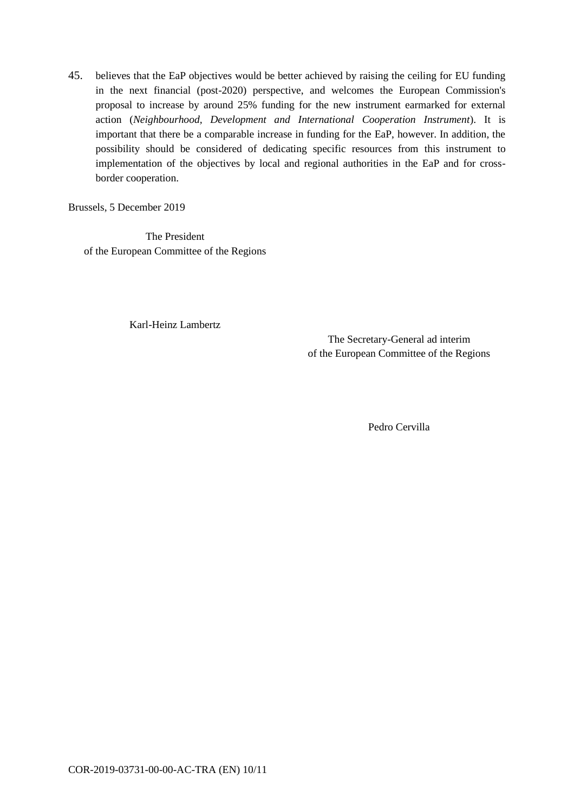45. believes that the EaP objectives would be better achieved by raising the ceiling for EU funding in the next financial (post-2020) perspective, and welcomes the European Commission's proposal to increase by around 25% funding for the new instrument earmarked for external action (*Neighbourhood, Development and International Cooperation Instrument*). It is important that there be a comparable increase in funding for the EaP, however. In addition, the possibility should be considered of dedicating specific resources from this instrument to implementation of the objectives by local and regional authorities in the EaP and for crossborder cooperation.

Brussels, 5 December 2019

The President of the European Committee of the Regions

Karl-Heinz Lambertz

The Secretary-General ad interim of the European Committee of the Regions

Pedro Cervilla